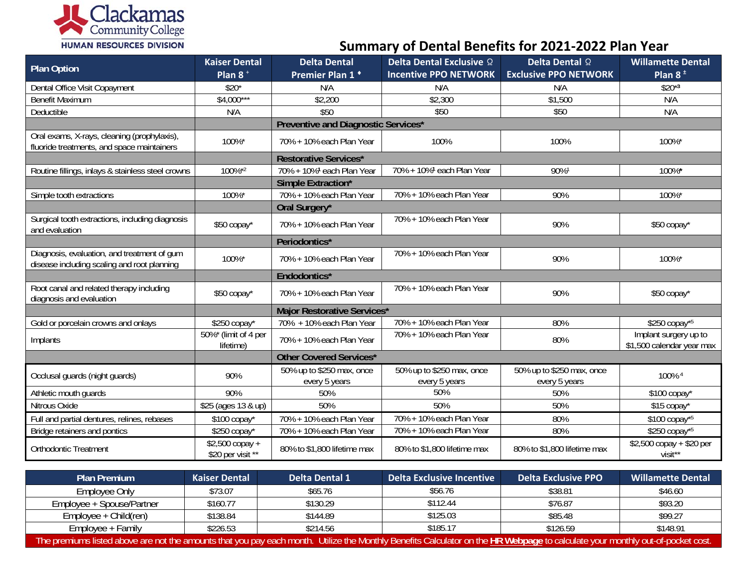

**Summary of Dental Benefits for 2021‐2022 Plan Year**

| <b>Plan Option</b>                                                                         | <b>Kaiser Dental</b>                 | <b>Delta Dental</b>                        | Delta Dental Exclusive 2                   | Delta Dental 2                             | <b>Willamette Dental</b>                           |  |  |
|--------------------------------------------------------------------------------------------|--------------------------------------|--------------------------------------------|--------------------------------------------|--------------------------------------------|----------------------------------------------------|--|--|
|                                                                                            | Plan $8^+$                           | Premier Plan 1 <sup>+</sup>                | <b>Incentive PPO NETWORK</b>               | <b>Exclusive PPO NETWORK</b>               | Plan $8^{\pm}$                                     |  |  |
| Dental Office Visit Copayment                                                              | $$20*$                               | N/A                                        | N/A                                        | N/A                                        | $$20*3$                                            |  |  |
| <b>Benefit Maximum</b>                                                                     | $$4,000***$                          | \$2,200                                    | \$2,300                                    | \$1,500                                    | N/A                                                |  |  |
| Deductible                                                                                 | N/A                                  | \$50                                       | \$50                                       | \$50                                       | N/A                                                |  |  |
|                                                                                            |                                      | Preventive and Diagnostic Services*        |                                            |                                            |                                                    |  |  |
| Oral exams, X-rays, cleaning (prophylaxis),<br>fluoride treatments, and space maintainers  | 100%*                                | 70% + 10% each Plan Year                   | 100%                                       | 100%                                       | 100%*                                              |  |  |
|                                                                                            |                                      | <b>Restorative Services*</b>               |                                            |                                            |                                                    |  |  |
| Routine fillings, inlays & stainless steel crowns                                          | 100%*2                               | 70% + 10% <sup>1</sup> each Plan Year      | 70% + 10% <sup>1</sup> each Plan Year      | 90%1                                       | 100%*                                              |  |  |
|                                                                                            |                                      | Simple Extraction*                         |                                            |                                            |                                                    |  |  |
| Simple tooth extractions                                                                   | 100%*                                | 70% + 10% each Plan Year                   | 70% + 10% each Plan Year                   | 90%                                        | 100%*                                              |  |  |
|                                                                                            |                                      | Oral Surgery*                              |                                            |                                            |                                                    |  |  |
| Surgical tooth extractions, including diagnosis<br>and evaluation                          | \$50 copay*                          | 70% + 10% each Plan Year                   | 70% + 10% each Plan Year                   | 90%                                        | \$50 copay*                                        |  |  |
|                                                                                            |                                      | Periodontics*                              |                                            |                                            |                                                    |  |  |
| Diagnosis, evaluation, and treatment of gum<br>disease including scaling and root planning | 100%*                                | 70% + 10% each Plan Year                   | 70% + 10% each Plan Year                   | 90%                                        | 100%*                                              |  |  |
|                                                                                            |                                      | Endodontics*                               |                                            |                                            |                                                    |  |  |
| Root canal and related therapy including<br>diagnosis and evaluation                       | \$50 copay*                          | 70% + 10% each Plan Year                   | 70% + 10% each Plan Year                   | 90%                                        | \$50 copay*                                        |  |  |
|                                                                                            |                                      | Major Restorative Services*                |                                            |                                            |                                                    |  |  |
| Gold or porcelain crowns and onlays                                                        | \$250 copay*                         | 70% + 10% each Plan Year                   | 70% + 10% each Plan Year                   | 80%                                        | \$250 copay*5                                      |  |  |
| Implants                                                                                   | 50%* (limit of 4 per<br>lifetime)    | 70% + 10% each Plan Year                   | 70% + 10% each Plan Year                   | 80%                                        | Implant surgery up to<br>\$1,500 calendar year max |  |  |
|                                                                                            |                                      | <b>Other Covered Services*</b>             |                                            |                                            |                                                    |  |  |
| Occlusal guards (night guards)                                                             | 90%                                  | 50% up to \$250 max, once<br>every 5 years | 50% up to \$250 max, once<br>every 5 years | 50% up to \$250 max, once<br>every 5 years | 100% 4                                             |  |  |
| Athletic mouth guards                                                                      | 90%                                  | 50%                                        | 50%                                        | 50%                                        | \$100 copay*                                       |  |  |
| Nitrous Oxide                                                                              | \$25 (ages 13 & up)                  | 50%                                        | 50%                                        | 50%                                        | \$15 copay*                                        |  |  |
| Full and partial dentures, relines, rebases                                                | $$100$ copay*                        | 70% + 10% each Plan Year                   | 70% + 10% each Plan Year                   | 80%                                        | \$100 copay*5                                      |  |  |
| Bridge retainers and pontics                                                               | \$250 copay*                         | 70% + 10% each Plan Year                   | 70% + 10% each Plan Year                   | 80%                                        | \$250 copay*5                                      |  |  |
| <b>Orthodontic Treatment</b>                                                               | \$2,500 copay +<br>\$20 per visit ** | 80% to \$1,800 lifetime max                | 80% to \$1,800 lifetime max                | 80% to \$1,800 lifetime max                | \$2,500 copay + \$20 per<br>visit**                |  |  |

| <b>Plan Premium</b>                                                                                                                                                                   | <b>Kaiser Dental</b> | <b>Delta Dental 1</b> | Delta Exclusive Incentive | <b>Delta Exclusive PPO</b> | Willamette Dental |  |  |
|---------------------------------------------------------------------------------------------------------------------------------------------------------------------------------------|----------------------|-----------------------|---------------------------|----------------------------|-------------------|--|--|
| Employee Only                                                                                                                                                                         | \$73.07              | \$65.76               | \$56.76                   | \$38.81                    | \$46.60           |  |  |
| Employee + Spouse/Partner                                                                                                                                                             | \$160.77             | \$130.29              | \$112.44                  | \$76.87                    | \$93.20           |  |  |
| $Employee + Child (ren)$                                                                                                                                                              | \$138.84             | \$144.89              | \$125.03                  | \$85.48                    | \$99.27           |  |  |
| Employee + Family                                                                                                                                                                     | \$226.53             | \$214.56              | \$185.17                  | \$126.59                   | \$148.91          |  |  |
| The premiums listed above are not the amounts that you pay each month. Utilize the Monthly Benefits Calculator on the <b>HR Webpage</b> to calculate your monthly out-of-pocket cost. |                      |                       |                           |                            |                   |  |  |